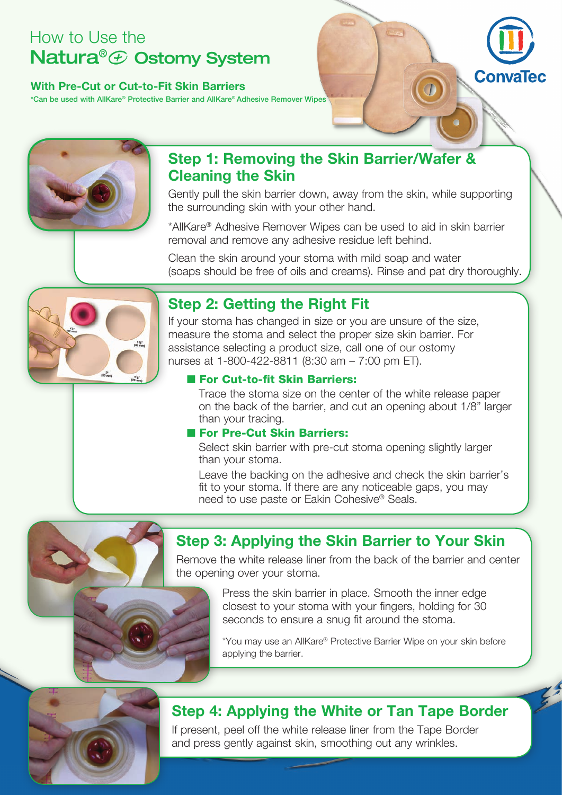# How to Use the Natura<sup>®</sup> ⊕ Ostomy System

### **With Pre-Cut or Cut-to-Fit Skin Barriers**

\*Can be used with AllKare® Protective Barrier and AllKare® Adhesive Remover Wipes



## **Step 1: Removing the Skin Barrier/Wafer & Cleaning the Skin**

Gently pull the skin barrier down, away from the skin, while supporting the surrounding skin with your other hand.

Conva

\*AllKare® Adhesive Remover Wipes can be used to aid in skin barrier removal and remove any adhesive residue left behind.

Clean the skin around your stoma with mild soap and water (soaps should be free of oils and creams). Rinse and pat dry thoroughly.



# **Step 2: Getting the Right Fit**

If your stoma has changed in size or you are unsure of the size, measure the stoma and select the proper size skin barrier. For assistance selecting a product size, call one of our ostomy nurses at 1-800-422-8811 (8:30 am – 7:00 pm ET).

## **n** For Cut-to-fit Skin Barriers:

Trace the stoma size on the center of the white release paper on the back of the barrier, and cut an opening about 1/8" larger than your tracing.

### **n** For Pre-Cut Skin Barriers:

Select skin barrier with pre-cut stoma opening slightly larger than your stoma.

Leave the backing on the adhesive and check the skin barrier's fit to your stoma. If there are any noticeable gaps, you may need to use paste or Eakin Cohesive® Seals.



# **Step 3: Applying the Skin Barrier to Your Skin**

Remove the white release liner from the back of the barrier and center the opening over your stoma.

> Press the skin barrier in place. Smooth the inner edge closest to your stoma with your fingers, holding for 30 seconds to ensure a snug fit around the stoma.

\*You may use an AllKare® Protective Barrier Wipe on your skin before applying the barrier.

## **Step 4: Applying the White or Tan Tape Border**

If present, peel off the white release liner from the Tape Border and press gently against skin, smoothing out any wrinkles.